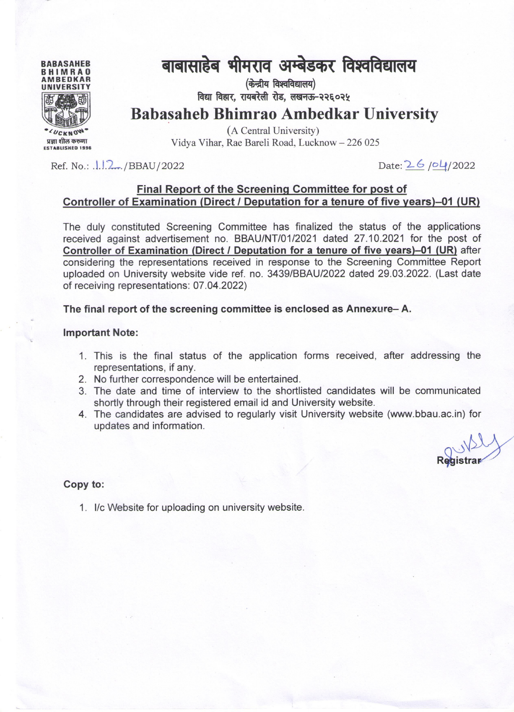

# बाबासाहेब भीमराव अम्बेडकर विश्वविद्यालय

(केन्द्रीय विश्वविद्यालय) विद्या विहार, रायबरेली रोड, लखनऊ-२२६०२५

**Babasaheb Bhimrao Ambedkar University** 

(A Central University) Vidya Vihar, Rae Bareli Road, Lucknow - 226 025

Ref. No.:  $1.12.../BBAU/2022$ 

Date: 26/04/2022

### Final Report of the Screening Committee for post of Controller of Examination (Direct / Deputation for a tenure of five years)-01 (UR)

The duly constituted Screening Committee has finalized the status of the applications received against advertisement no. BBAU/NT/01/2021 dated 27.10.2021 for the post of Controller of Examination (Direct / Deputation for a tenure of five years)-01 (UR) after considering the representations received in response to the Screening Committee Report uploaded on University website vide ref. no. 3439/BBAU/2022 dated 29.03.2022. (Last date of receiving representations: 07.04.2022)

The final report of the screening committee is enclosed as Annexure-A.

#### **Important Note:**

- 1. This is the final status of the application forms received, after addressing the representations, if any.
- 2. No further correspondence will be entertained.
- 3. The date and time of interview to the shortlisted candidates will be communicated shortly through their registered email id and University website.
- 4. The candidates are advised to regularly visit University website (www.bbau.ac.in) for updates and information.

### Copy to:

1. I/c Website for uploading on university website.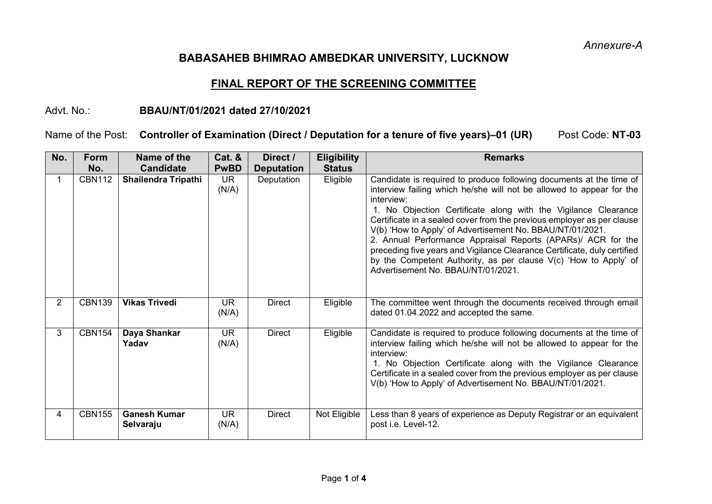*Annexure-A*

# **BABASAHEB BHIMRAO AMBEDKAR UNIVERSITY, LUCKNOW**

# **FINAL REPORT OF THE SCREENING COMMITTEE**

## Advt. No.: **BBAU/NT/01/2021 dated 27/10/2021**

# Name of the Post: Controller of Examination (Direct / Deputation for a tenure of five years)–01 (UR) Post Code: NT-03

| No.            | <b>Form</b><br>No. | Name of the<br><b>Candidate</b>  | Cat. &<br><b>PwBD</b> | Direct /<br><b>Deputation</b> | <b>Eligibility</b><br><b>Status</b> | <b>Remarks</b>                                                                                                                                                                                                                                                                                                                                                                                                                                                                                                                                                                                                           |
|----------------|--------------------|----------------------------------|-----------------------|-------------------------------|-------------------------------------|--------------------------------------------------------------------------------------------------------------------------------------------------------------------------------------------------------------------------------------------------------------------------------------------------------------------------------------------------------------------------------------------------------------------------------------------------------------------------------------------------------------------------------------------------------------------------------------------------------------------------|
|                | <b>CBN112</b>      | <b>Shailendra Tripathi</b>       | <b>UR</b><br>(N/A)    | Deputation                    | Eligible                            | Candidate is required to produce following documents at the time of<br>interview failing which he/she will not be allowed to appear for the<br>interview:<br>1. No Objection Certificate along with the Vigilance Clearance<br>Certificate in a sealed cover from the previous employer as per clause<br>V(b) 'How to Apply' of Advertisement No. BBAU/NT/01/2021.<br>2. Annual Performance Appraisal Reports (APARs)/ ACR for the<br>preceding five years and Vigilance Clearance Certificate, duly certified<br>by the Competent Authority, as per clause V(c) 'How to Apply' of<br>Advertisement No. BBAU/NT/01/2021. |
| $\overline{2}$ | <b>CBN139</b>      | <b>Vikas Trivedi</b>             | <b>UR</b><br>(N/A)    | <b>Direct</b>                 | Eligible                            | The committee went through the documents received through email<br>dated 01.04.2022 and accepted the same.                                                                                                                                                                                                                                                                                                                                                                                                                                                                                                               |
| 3              | <b>CBN154</b>      | Daya Shankar<br>Yadav            | <b>UR</b><br>(N/A)    | <b>Direct</b>                 | Eligible                            | Candidate is required to produce following documents at the time of<br>interview failing which he/she will not be allowed to appear for the<br>interview:<br>1. No Objection Certificate along with the Vigilance Clearance<br>Certificate in a sealed cover from the previous employer as per clause<br>V(b) 'How to Apply' of Advertisement No. BBAU/NT/01/2021.                                                                                                                                                                                                                                                       |
| 4              | <b>CBN155</b>      | <b>Ganesh Kumar</b><br>Selvaraju | UR.<br>(N/A)          | <b>Direct</b>                 | Not Eligible                        | Less than 8 years of experience as Deputy Registrar or an equivalent<br>post i.e. Level-12.                                                                                                                                                                                                                                                                                                                                                                                                                                                                                                                              |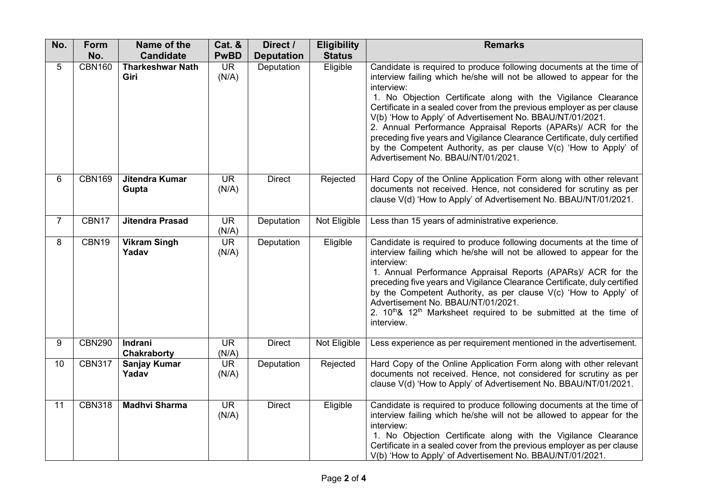| No. | Form          | Name of the                     | <b>Cat. &amp;</b>  | Direct /          | <b>Eligibility</b> | <b>Remarks</b>                                                                                                                                                                                                                                                                                                                                                                                                                                                                                                                                                                                                           |
|-----|---------------|---------------------------------|--------------------|-------------------|--------------------|--------------------------------------------------------------------------------------------------------------------------------------------------------------------------------------------------------------------------------------------------------------------------------------------------------------------------------------------------------------------------------------------------------------------------------------------------------------------------------------------------------------------------------------------------------------------------------------------------------------------------|
|     | No.           | <b>Candidate</b>                | <b>PwBD</b>        | <b>Deputation</b> | <b>Status</b>      |                                                                                                                                                                                                                                                                                                                                                                                                                                                                                                                                                                                                                          |
| 5   | <b>CBN160</b> | <b>Tharkeshwar Nath</b><br>Giri | <b>UR</b><br>(N/A) | Deputation        | Eligible           | Candidate is required to produce following documents at the time of<br>interview failing which he/she will not be allowed to appear for the<br>interview:<br>1. No Objection Certificate along with the Vigilance Clearance<br>Certificate in a sealed cover from the previous employer as per clause<br>V(b) 'How to Apply' of Advertisement No. BBAU/NT/01/2021.<br>2. Annual Performance Appraisal Reports (APARs)/ ACR for the<br>preceding five years and Vigilance Clearance Certificate, duly certified<br>by the Competent Authority, as per clause V(c) 'How to Apply' of<br>Advertisement No. BBAU/NT/01/2021. |
| 6   | <b>CBN169</b> | Jitendra Kumar<br>Gupta         | <b>UR</b><br>(N/A) | <b>Direct</b>     | Rejected           | Hard Copy of the Online Application Form along with other relevant<br>documents not received. Hence, not considered for scrutiny as per<br>clause V(d) 'How to Apply' of Advertisement No. BBAU/NT/01/2021.                                                                                                                                                                                                                                                                                                                                                                                                              |
| 7   | CBN17         | <b>Jitendra Prasad</b>          | <b>UR</b><br>(N/A) | Deputation        | Not Eligible       | Less than 15 years of administrative experience.                                                                                                                                                                                                                                                                                                                                                                                                                                                                                                                                                                         |
| 8   | CBN19         | <b>Vikram Singh</b><br>Yadav    | <b>UR</b><br>(N/A) | Deputation        | Eligible           | Candidate is required to produce following documents at the time of<br>interview failing which he/she will not be allowed to appear for the<br>interview:<br>1. Annual Performance Appraisal Reports (APARs)/ ACR for the<br>preceding five years and Vigilance Clearance Certificate, duly certified<br>by the Competent Authority, as per clause V(c) 'How to Apply' of<br>Advertisement No. BBAU/NT/01/2021.<br>2. 10 <sup>th</sup> & 12 <sup>th</sup> Marksheet required to be submitted at the time of<br>interview.                                                                                                |
| 9   | <b>CBN290</b> | Indrani<br>Chakraborty          | <b>UR</b><br>(N/A) | <b>Direct</b>     | Not Eligible       | Less experience as per requirement mentioned in the advertisement.                                                                                                                                                                                                                                                                                                                                                                                                                                                                                                                                                       |
| 10  | <b>CBN317</b> | <b>Sanjay Kumar</b><br>Yadav    | <b>UR</b><br>(N/A) | Deputation        | Rejected           | Hard Copy of the Online Application Form along with other relevant<br>documents not received. Hence, not considered for scrutiny as per<br>clause V(d) 'How to Apply' of Advertisement No. BBAU/NT/01/2021.                                                                                                                                                                                                                                                                                                                                                                                                              |
| 11  | <b>CBN318</b> | <b>Madhvi Sharma</b>            | <b>UR</b><br>(N/A) | <b>Direct</b>     | Eligible           | Candidate is required to produce following documents at the time of<br>interview failing which he/she will not be allowed to appear for the<br>interview:<br>1. No Objection Certificate along with the Vigilance Clearance<br>Certificate in a sealed cover from the previous employer as per clause<br>V(b) 'How to Apply' of Advertisement No. BBAU/NT/01/2021.                                                                                                                                                                                                                                                       |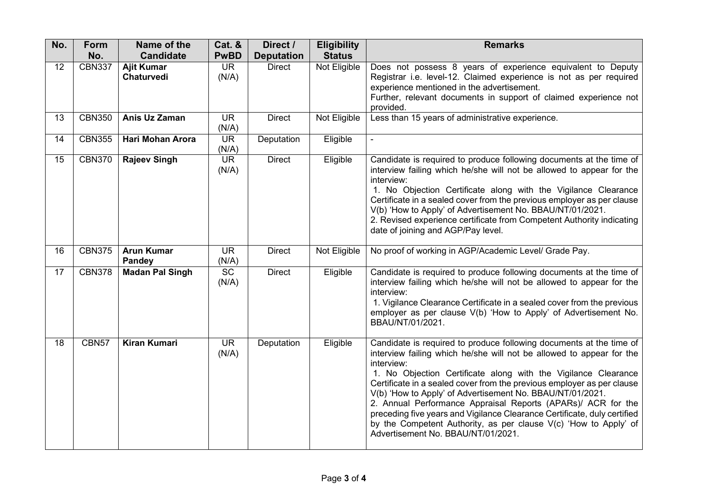| No. | Form          | Name of the                        | Cat. &             | Direct /          | <b>Eligibility</b> | <b>Remarks</b>                                                                                                                                                                                                                                                                                                                                                                                                                                                                                                                                                                                                           |
|-----|---------------|------------------------------------|--------------------|-------------------|--------------------|--------------------------------------------------------------------------------------------------------------------------------------------------------------------------------------------------------------------------------------------------------------------------------------------------------------------------------------------------------------------------------------------------------------------------------------------------------------------------------------------------------------------------------------------------------------------------------------------------------------------------|
|     | No.           | <b>Candidate</b>                   | <b>PwBD</b>        | <b>Deputation</b> | <b>Status</b>      |                                                                                                                                                                                                                                                                                                                                                                                                                                                                                                                                                                                                                          |
| 12  | <b>CBN337</b> | <b>Ajit Kumar</b><br>Chaturvedi    | <b>UR</b><br>(N/A) | <b>Direct</b>     | Not Eligible       | Does not possess 8 years of experience equivalent to Deputy<br>Registrar i.e. level-12. Claimed experience is not as per required<br>experience mentioned in the advertisement.<br>Further, relevant documents in support of claimed experience not<br>provided.                                                                                                                                                                                                                                                                                                                                                         |
| 13  | <b>CBN350</b> | Anis Uz Zaman                      | <b>UR</b><br>(N/A) | <b>Direct</b>     | Not Eligible       | Less than 15 years of administrative experience.                                                                                                                                                                                                                                                                                                                                                                                                                                                                                                                                                                         |
| 14  | <b>CBN355</b> | <b>Hari Mohan Arora</b>            | <b>UR</b><br>(N/A) | Deputation        | Eligible           | $\blacksquare$                                                                                                                                                                                                                                                                                                                                                                                                                                                                                                                                                                                                           |
| 15  | <b>CBN370</b> | <b>Rajeev Singh</b>                | <b>UR</b><br>(N/A) | <b>Direct</b>     | Eligible           | Candidate is required to produce following documents at the time of<br>interview failing which he/she will not be allowed to appear for the<br>interview:<br>1. No Objection Certificate along with the Vigilance Clearance<br>Certificate in a sealed cover from the previous employer as per clause<br>V(b) 'How to Apply' of Advertisement No. BBAU/NT/01/2021.<br>2. Revised experience certificate from Competent Authority indicating<br>date of joining and AGP/Pay level.                                                                                                                                        |
| 16  | <b>CBN375</b> | <b>Arun Kumar</b><br><b>Pandey</b> | <b>UR</b><br>(N/A) | <b>Direct</b>     | Not Eligible       | No proof of working in AGP/Academic Level/ Grade Pay.                                                                                                                                                                                                                                                                                                                                                                                                                                                                                                                                                                    |
| 17  | <b>CBN378</b> | <b>Madan Pal Singh</b>             | <b>SC</b><br>(N/A) | <b>Direct</b>     | Eligible           | Candidate is required to produce following documents at the time of<br>interview failing which he/she will not be allowed to appear for the<br>interview:<br>1. Vigilance Clearance Certificate in a sealed cover from the previous<br>employer as per clause V(b) 'How to Apply' of Advertisement No.<br>BBAU/NT/01/2021.                                                                                                                                                                                                                                                                                               |
| 18  | CBN57         | <b>Kiran Kumari</b>                | <b>UR</b><br>(N/A) | Deputation        | Eligible           | Candidate is required to produce following documents at the time of<br>interview failing which he/she will not be allowed to appear for the<br>interview:<br>1. No Objection Certificate along with the Vigilance Clearance<br>Certificate in a sealed cover from the previous employer as per clause<br>V(b) 'How to Apply' of Advertisement No. BBAU/NT/01/2021.<br>2. Annual Performance Appraisal Reports (APARs)/ ACR for the<br>preceding five years and Vigilance Clearance Certificate, duly certified<br>by the Competent Authority, as per clause V(c) 'How to Apply' of<br>Advertisement No. BBAU/NT/01/2021. |